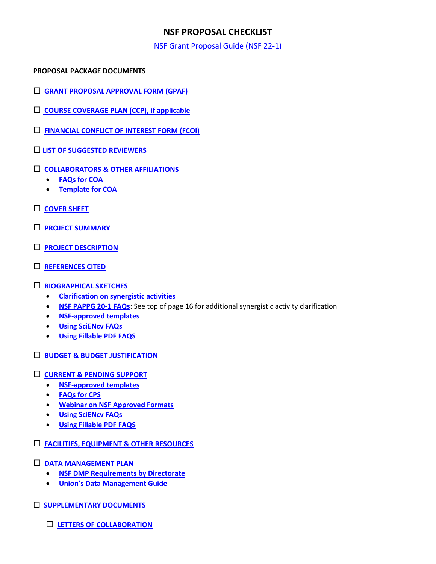# **NSF PROPOSAL CHECKLIST**

[NSF Grant Proposal Guide \(NSF 22-1\)](https://nsf.gov/pubs/policydocs/pappg20_1/index.jsp)

#### **PROPOSAL PACKAGE DOCUMENTS**

- **[GRANT PROPOSAL APPROVAL FORM \(GPAF\)](https://www.union.edu/sites/default/files/grants/202109/gpaf-090121.pdf)**
- **[COURSE COVERAGE PLAN \(CCP\), if applicable](https://www.union.edu/sites/default/files/grants/202009/course-coverage-plan-9152020.pdf)**
- **[FINANCIAL CONFLICT OF INTEREST FORM \(FCOI\)](https://union-college.formstack.com/workflows/fcoi)**
- **[LIST OF SUGGESTED REVIEWERS](https://www.nsf.gov/pubs/policydocs/pappg22_1/pappg_2.jsp#IIC1b)**
- **[COLLABORATORS & OTHER AFFILIATIONS](https://www.nsf.gov/pubs/policydocs/pappg22_1/pappg_2.jsp#IIC1e)**
	- **[FAQs for COA](https://www.nsf.gov/bfa/dias/policy/coa/faqs_coatemplateaug2020.pdf)**
	- **[Template for COA](https://www.nsf.gov/bfa/dias/policy/coa.jsp)**
- **[COVER SHEET](https://www.nsf.gov/pubs/policydocs/pappg22_1/pappg_2.jsp#IIC2a)**
- **[PROJECT SUMMARY](https://www.nsf.gov/pubs/policydocs/pappg22_1/pappg_2.jsp#IIC2b)**
- **[PROJECT DESCRIPTION](https://www.nsf.gov/pubs/policydocs/pappg22_1/pappg_2.jsp#IIC2d)**
- **[REFERENCES CITED](https://www.nsf.gov/pubs/policydocs/pappg22_1/pappg_2.jsp#IIC2e)**

### **[BIOGRAPHICAL SKETCHES](https://www.nsf.gov/pubs/policydocs/pappg22_1/pappg_2.jsp#IIC2f)**

- **[Clarification on synergistic activities](https://www.youtube.com/watch?v=OgZHhoHTqf4&feature=youtu.be&t=3075)**
- **[NSF PAPPG 20-1 FAQs](https://www.nsf.gov/bfa/dias/policy/papp/pappg20_1/faqs20_1.pdf)**: See top of page 16 for additional synergistic activity clarification
- **[NSF-approved templates](https://www.nsf.gov/bfa/dias/policy/biosketch.jsp)**
- **[Using SciENcv FAQs](https://www.research.gov/common/attachment/Desktop/SciENcv-FAQs.pdf)**
- **[Using Fillable PDF FAQS](https://www.research.gov/common/attachment/Desktop/NSFPDF-FAQs.pdf)**
- **[BUDGET & BUDGET JUSTIFICATION](https://www.nsf.gov/pubs/policydocs/pappg22_1/pappg_2.jsp#IIC2g)**
- **[CURRENT & PENDING SUPPORT](https://www.nsf.gov/pubs/policydocs/pappg22_1/pappg_2.jsp#IIC2h)**
	- **[NSF-approved templates](https://www.nsf.gov/bfa/dias/policy/cps.jsp)**
	- **[FAQs for CPS](https://www.nsf.gov/bfa/dias/policy/cps_faqs/currentandpendingfaqs_june2021.pdf)**
	- **[Webinar on NSF Approved Formats](https://nsfpolicyoutreach.com/resources/april-2020-nsf-approved-formats-for-proposals/)**
	- **[Using SciENcv FAQs](https://www.research.gov/common/attachment/Desktop/SciENcv-FAQs.pdf)**
	- **[Using Fillable PDF FAQS](https://www.research.gov/common/attachment/Desktop/NSFPDF-FAQs.pdf)**
- **[FACILITIES, EQUIPMENT & OTHER RESOURCES](https://www.nsf.gov/pubs/policydocs/pappg22_1/pappg_2.jsp#IIC2i)**
- **[DATA MANAGEMENT PLAN](https://www.nsf.gov/pubs/policydocs/pappg22_1/pappg_2.jsp#dmp)**
	- **[NSF DMP Requirements by Directorate](https://www.nsf.gov/bfa/dias/policy/dmp.jsp)**
	- **[Union's Data Management Guide](https://www.union.edu/sites/default/files/grants/201905/dmpguide.pdf)**
- **[SUPPLEMENTARY DOCUMENTS](https://www.nsf.gov/pubs/policydocs/pappg22_1/pappg_2.jsp#IIC2j)**
	- **[LETTERS OF COLLABORATION](https://www.nsf.gov/pubs/policydocs/pappg22_1/pappg_2.jsp#collab)**